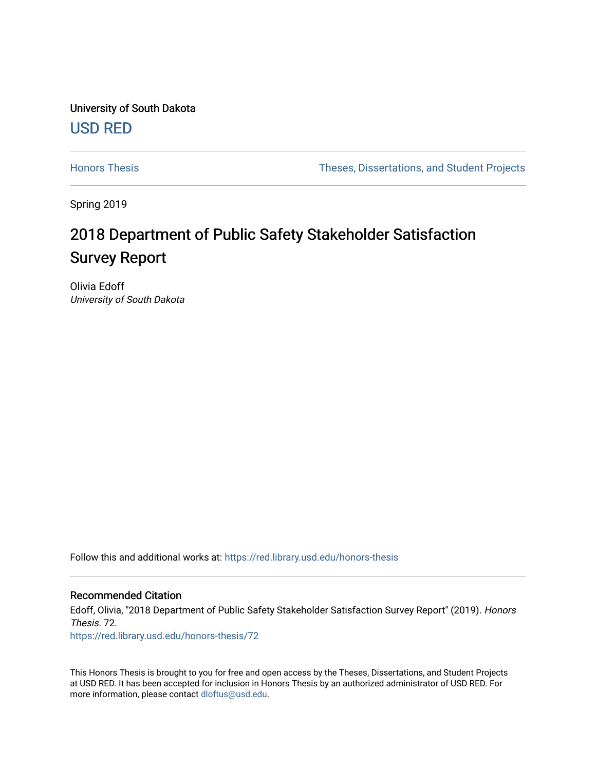University of South Dakota [USD RED](https://red.library.usd.edu/) 

[Honors Thesis](https://red.library.usd.edu/honors-thesis) Theses, Dissertations, and Student Projects

Spring 2019

# 2018 Department of Public Safety Stakeholder Satisfaction Survey Report

Olivia Edoff University of South Dakota

Follow this and additional works at: [https://red.library.usd.edu/honors-thesis](https://red.library.usd.edu/honors-thesis?utm_source=red.library.usd.edu%2Fhonors-thesis%2F72&utm_medium=PDF&utm_campaign=PDFCoverPages) 

#### Recommended Citation

Edoff, Olivia, "2018 Department of Public Safety Stakeholder Satisfaction Survey Report" (2019). Honors Thesis. 72.

[https://red.library.usd.edu/honors-thesis/72](https://red.library.usd.edu/honors-thesis/72?utm_source=red.library.usd.edu%2Fhonors-thesis%2F72&utm_medium=PDF&utm_campaign=PDFCoverPages) 

This Honors Thesis is brought to you for free and open access by the Theses, Dissertations, and Student Projects at USD RED. It has been accepted for inclusion in Honors Thesis by an authorized administrator of USD RED. For more information, please contact [dloftus@usd.edu](mailto:dloftus@usd.edu).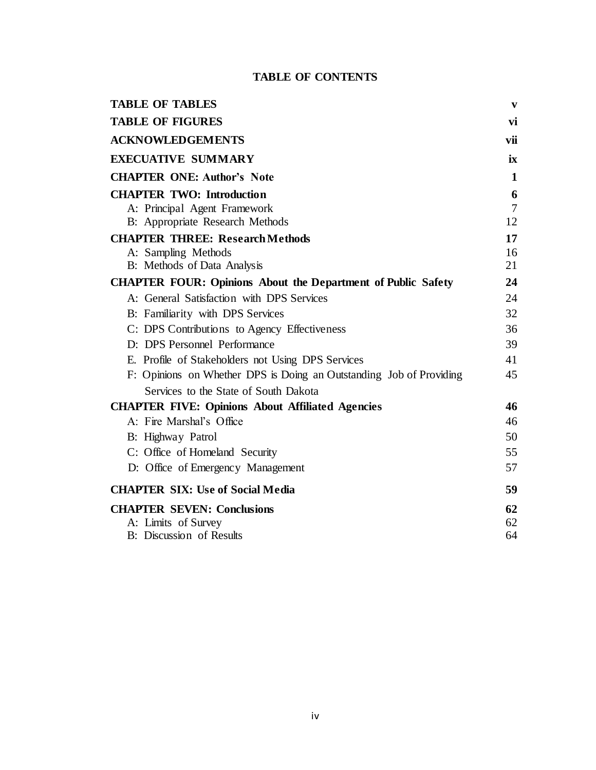### **TABLE OF CONTENTS**

| <b>TABLE OF TABLES</b>                                              | V              |
|---------------------------------------------------------------------|----------------|
| <b>TABLE OF FIGURES</b>                                             | vi             |
| <b>ACKNOWLEDGEMENTS</b>                                             | vii            |
| <b>EXECUATIVE SUMMARY</b>                                           | ix             |
| <b>CHAPTER ONE: Author's Note</b>                                   | 1              |
| <b>CHAPTER TWO: Introduction</b>                                    | 6              |
| A: Principal Agent Framework                                        | $\overline{7}$ |
| B: Appropriate Research Methods                                     | 12             |
| <b>CHAPTER THREE: Research Methods</b>                              | 17             |
| A: Sampling Methods                                                 | 16             |
| B: Methods of Data Analysis                                         | 21             |
| <b>CHAPTER FOUR: Opinions About the Department of Public Safety</b> | 24             |
| A: General Satisfaction with DPS Services                           | 24             |
| B: Familiarity with DPS Services                                    | 32             |
| C: DPS Contributions to Agency Effectiveness                        | 36             |
| D: DPS Personnel Performance                                        | 39             |
| E. Profile of Stakeholders not Using DPS Services                   | 41             |
| F: Opinions on Whether DPS is Doing an Outstanding Job of Providing | 45             |
| Services to the State of South Dakota                               |                |
| <b>CHAPTER FIVE: Opinions About Affiliated Agencies</b>             | 46             |
| A: Fire Marshal's Office                                            | 46             |
| B: Highway Patrol                                                   | 50             |
| C: Office of Homeland Security                                      | 55             |
| D: Office of Emergency Management                                   | 57             |
| <b>CHAPTER SIX: Use of Social Media</b>                             | 59             |
| <b>CHAPTER SEVEN: Conclusions</b>                                   | 62             |
| A: Limits of Survey                                                 | 62             |
| B: Discussion of Results                                            | 64             |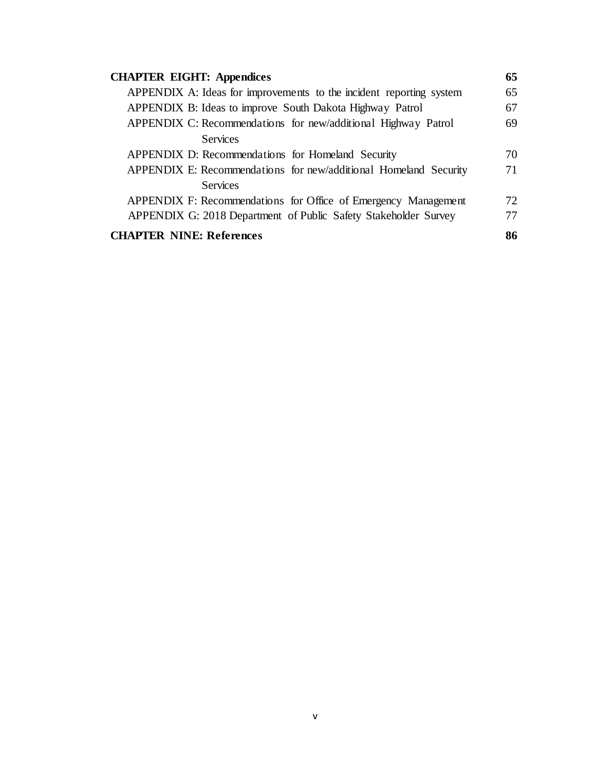| <b>CHAPTER EIGHT: Appendices</b>                                    | 65 |
|---------------------------------------------------------------------|----|
| APPENDIX A: Ideas for improvements to the incident reporting system | 65 |
| APPENDIX B: Ideas to improve South Dakota Highway Patrol            | 67 |
| APPENDIX C: Recommendations for new/additional Highway Patrol       | 69 |
| <b>Services</b>                                                     |    |
| APPENDIX D: Recommendations for Homeland Security                   | 70 |
| APPENDIX E: Recommendations for new/additional Homeland Security    | 71 |
| <b>Services</b>                                                     |    |
| APPENDIX F: Recommendations for Office of Emergency Management      | 72 |
| APPENDIX G: 2018 Department of Public Safety Stakeholder Survey     | 77 |
| <b>CHAPTER NINE: References</b>                                     | 86 |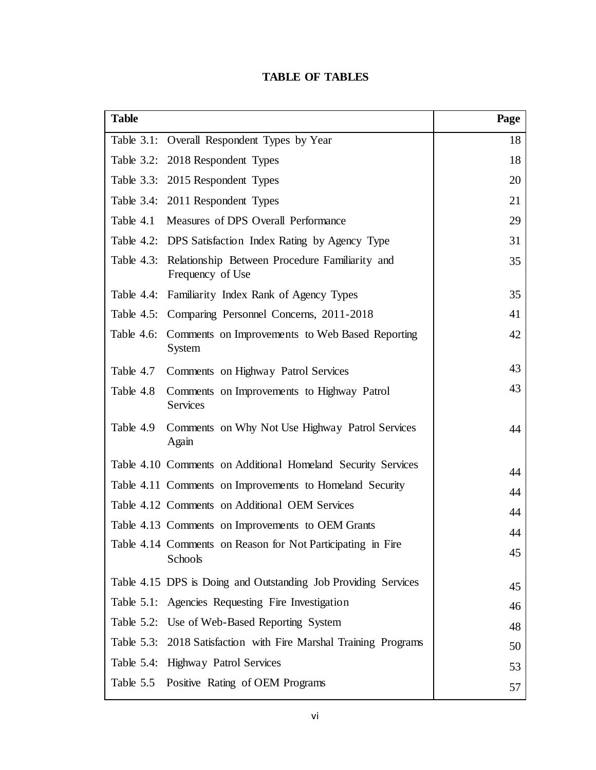### **TABLE OF TABLES**

| <b>Table</b> |                                                                               | Page |
|--------------|-------------------------------------------------------------------------------|------|
|              | Table 3.1: Overall Respondent Types by Year                                   | 18   |
|              | Table 3.2: 2018 Respondent Types                                              | 18   |
|              | Table 3.3: 2015 Respondent Types                                              | 20   |
|              | Table 3.4: 2011 Respondent Types                                              | 21   |
| Table 4.1    | Measures of DPS Overall Performance                                           | 29   |
|              | Table 4.2: DPS Satisfaction Index Rating by Agency Type                       | 31   |
|              | Table 4.3: Relationship Between Procedure Familiarity and<br>Frequency of Use | 35   |
|              | Table 4.4: Familiarity Index Rank of Agency Types                             | 35   |
|              | Table 4.5: Comparing Personnel Concerns, 2011-2018                            | 41   |
|              | Table 4.6: Comments on Improvements to Web Based Reporting<br>System          | 42   |
| Table 4.7    | Comments on Highway Patrol Services                                           | 43   |
| Table 4.8    | Comments on Improvements to Highway Patrol<br><b>Services</b>                 | 43   |
| Table 4.9    | Comments on Why Not Use Highway Patrol Services<br>Again                      | 44   |
|              | Table 4.10 Comments on Additional Homeland Security Services                  | 44   |
|              | Table 4.11 Comments on Improvements to Homeland Security                      | 44   |
|              | Table 4.12 Comments on Additional OEM Services                                | 44   |
|              | Table 4.13 Comments on Improvements to OEM Grants                             | 44   |
|              | Table 4.14 Comments on Reason for Not Participating in Fire<br>Schools        | 45   |
|              | Table 4.15 DPS is Doing and Outstanding Job Providing Services                | 45   |
|              | Table 5.1: Agencies Requesting Fire Investigation                             | 46   |
|              | Table 5.2: Use of Web-Based Reporting System                                  | 48   |
|              | Table 5.3: 2018 Satisfaction with Fire Marshal Training Programs              | 50   |
|              | Table 5.4: Highway Patrol Services                                            | 53   |
|              | Table 5.5 Positive Rating of OEM Programs                                     | 57   |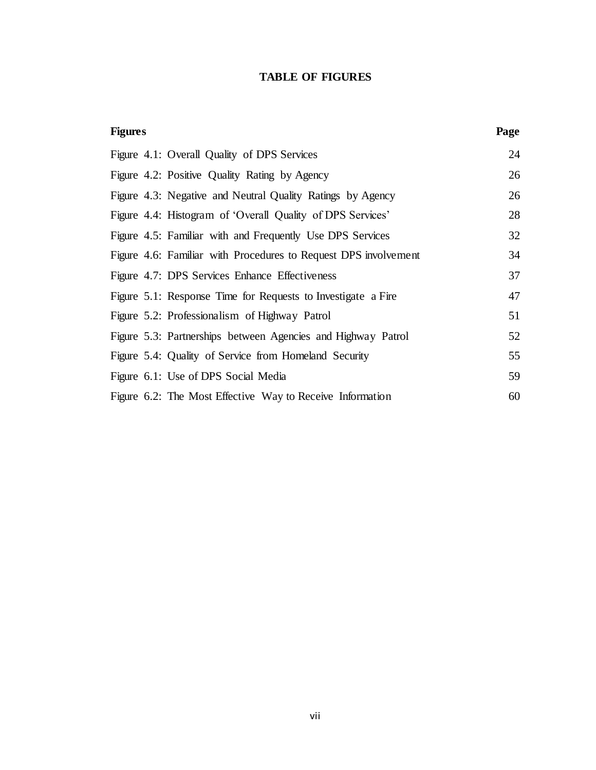### **TABLE OF FIGURES**

| <b>Figures</b> |                                                                 | Page |
|----------------|-----------------------------------------------------------------|------|
|                | Figure 4.1: Overall Quality of DPS Services                     | 24   |
|                | Figure 4.2: Positive Quality Rating by Agency                   | 26   |
|                | Figure 4.3: Negative and Neutral Quality Ratings by Agency      | 26   |
|                | Figure 4.4: Histogram of 'Overall Quality of DPS Services'      | 28   |
|                | Figure 4.5: Familiar with and Frequently Use DPS Services       | 32   |
|                | Figure 4.6: Familiar with Procedures to Request DPS involvement | 34   |
|                | Figure 4.7: DPS Services Enhance Effectiveness                  | 37   |
|                | Figure 5.1: Response Time for Requests to Investigate a Fire    | 47   |
|                | Figure 5.2: Professionalism of Highway Patrol                   | 51   |
|                | Figure 5.3: Partnerships between Agencies and Highway Patrol    | 52   |
|                | Figure 5.4: Quality of Service from Homeland Security           | 55   |
|                | Figure 6.1: Use of DPS Social Media                             | 59   |
|                | Figure 6.2: The Most Effective Way to Receive Information       | 60   |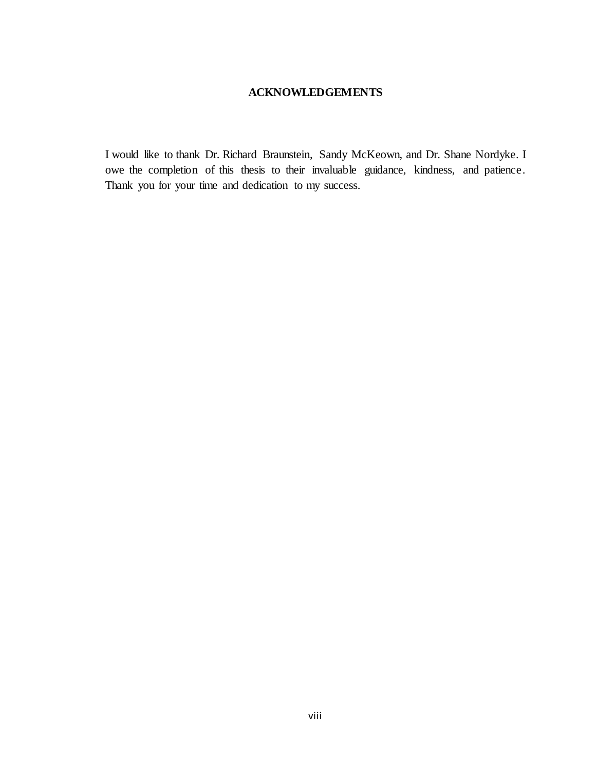### **ACKNOWLEDGEMENTS**

I would like to thank Dr. Richard Braunstein, Sandy McKeown, and Dr. Shane Nordyke. I owe the completion of this thesis to their invaluable guidance, kindness, and patience. Thank you for your time and dedication to my success.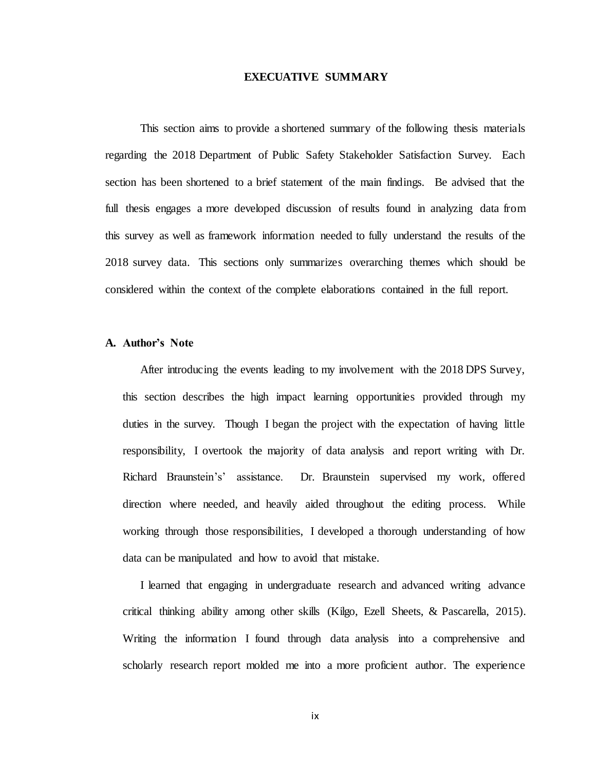#### **EXECUATIVE SUMMARY**

This section aims to provide a shortened summary of the following thesis materials regarding the 2018 Department of Public Safety Stakeholder Satisfaction Survey. Each section has been shortened to a brief statement of the main findings. Be advised that the full thesis engages a more developed discussion of results found in analyzing data from this survey as well as framework information needed to fully understand the results of the 2018 survey data. This sections only summarizes overarching themes which should be considered within the context of the complete elaborations contained in the full report.

#### **A. Author's Note**

After introducing the events leading to my involvement with the 2018 DPS Survey, this section describes the high impact learning opportunities provided through my duties in the survey. Though I began the project with the expectation of having little responsibility, I overtook the majority of data analysis and report writing with Dr. Richard Braunstein's' assistance. Dr. Braunstein supervised my work, offered direction where needed, and heavily aided throughout the editing process. While working through those responsibilities, I developed a thorough understanding of how data can be manipulated and how to avoid that mistake.

I learned that engaging in undergraduate research and advanced writing advance critical thinking ability among other skills (Kilgo, Ezell Sheets, & Pascarella, 2015). Writing the information I found through data analysis into a comprehensive and scholarly research report molded me into a more proficient author. The experience

ix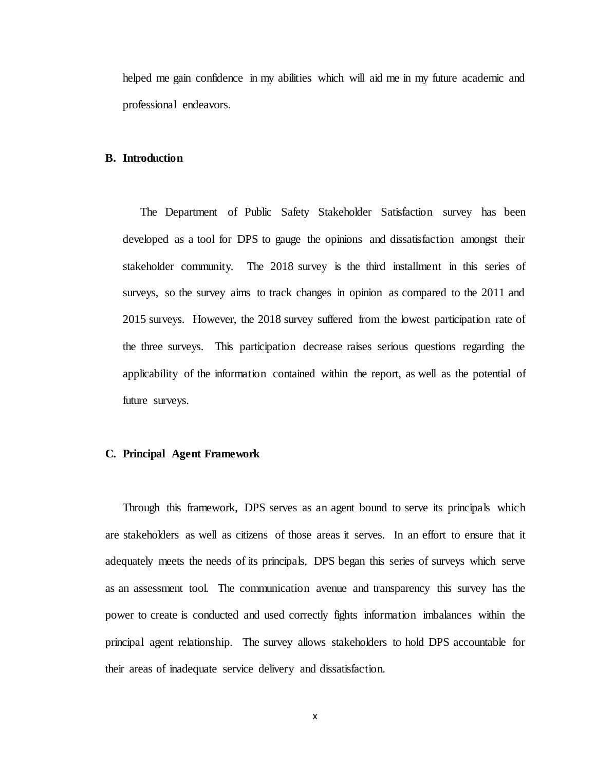helped me gain confidence in my abilities which will aid me in my future academic and professional endeavors.

#### **B. Introduction**

The Department of Public Safety Stakeholder Satisfaction survey has been developed as a tool for DPS to gauge the opinions and dissatisfaction amongst their stakeholder community. The 2018 survey is the third installment in this series of surveys, so the survey aims to track changes in opinion as compared to the 2011 and 2015 surveys. However, the 2018 survey suffered from the lowest participation rate of the three surveys. This participation decrease raises serious questions regarding the applicability of the information contained within the report, as well as the potential of future surveys.

#### **C. Principal Agent Framework**

Through this framework, DPS serves as an agent bound to serve its principals which are stakeholders as well as citizens of those areas it serves. In an effort to ensure that it adequately meets the needs of its principals, DPS began this series of surveys which serve as an assessment tool. The communication avenue and transparency this survey has the power to create is conducted and used correctly fights information imbalances within the principal agent relationship. The survey allows stakeholders to hold DPS accountable for their areas of inadequate service delivery and dissatisfaction.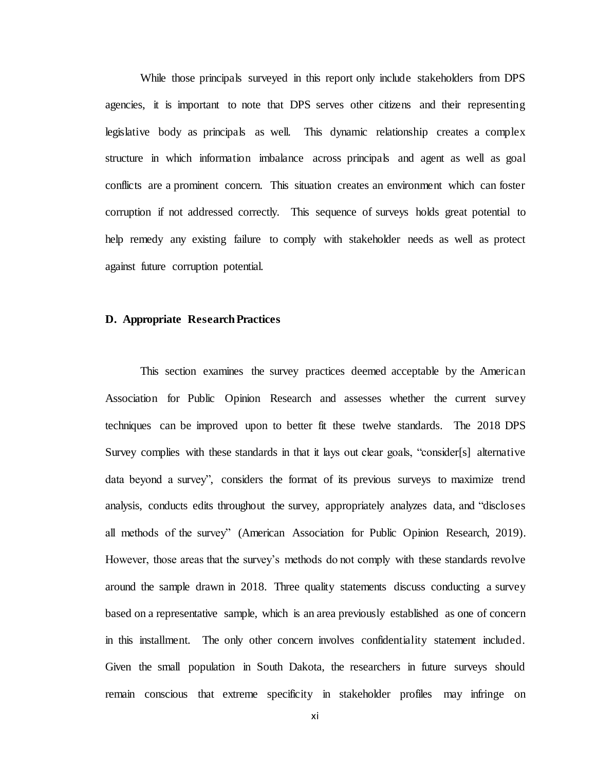While those principals surveyed in this report only include stakeholders from DPS agencies, it is important to note that DPS serves other citizens and their representing legislative body as principals as well. This dynamic relationship creates a complex structure in which information imbalance across principals and agent as well as goal conflicts are a prominent concern. This situation creates an environment which can foster corruption if not addressed correctly. This sequence of surveys holds great potential to help remedy any existing failure to comply with stakeholder needs as well as protect against future corruption potential.

#### **D. Appropriate Research Practices**

This section examines the survey practices deemed acceptable by the American Association for Public Opinion Research and assesses whether the current survey techniques can be improved upon to better fit these twelve standards. The 2018 DPS Survey complies with these standards in that it lays out clear goals, "consider[s] alternative data beyond a survey", considers the format of its previous surveys to maximize trend analysis, conducts edits throughout the survey, appropriately analyzes data, and "discloses all methods of the survey" (American Association for Public Opinion Research, 2019). However, those areas that the survey's methods do not comply with these standards revolve around the sample drawn in 2018. Three quality statements discuss conducting a survey based on a representative sample, which is an area previously established as one of concern in this installment. The only other concern involves confidentiality statement included. Given the small population in South Dakota, the researchers in future surveys should remain conscious that extreme specificity in stakeholder profiles may infringe on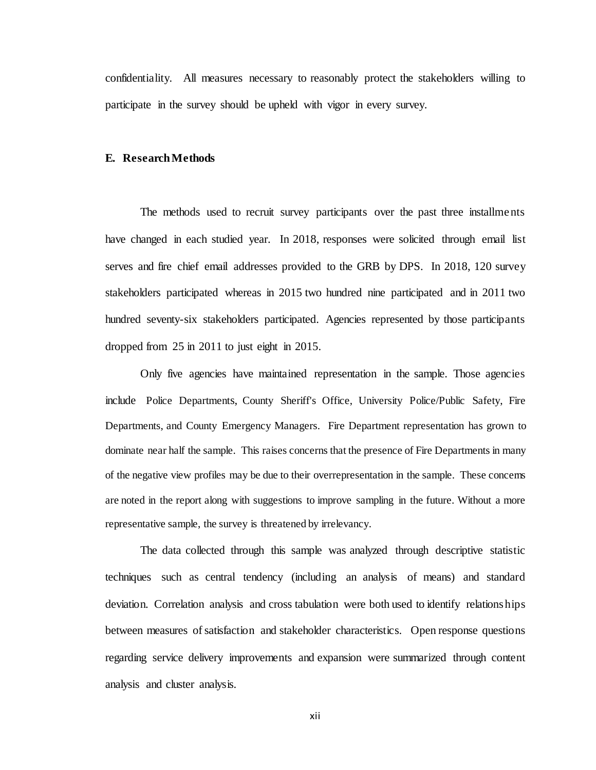confidentiality. All measures necessary to reasonably protect the stakeholders willing to participate in the survey should be upheld with vigor in every survey.

#### **E. Research Methods**

The methods used to recruit survey participants over the past three installments have changed in each studied year. In 2018, responses were solicited through email list serves and fire chief email addresses provided to the GRB by DPS. In 2018, 120 survey stakeholders participated whereas in 2015 two hundred nine participated and in 2011 two hundred seventy-six stakeholders participated. Agencies represented by those participants dropped from 25 in 2011 to just eight in 2015.

Only five agencies have maintained representation in the sample. Those agencies include Police Departments, County Sheriff's Office, University Police/Public Safety, Fire Departments, and County Emergency Managers. Fire Department representation has grown to dominate near half the sample. This raises concerns that the presence of Fire Departments in many of the negative view profiles may be due to their overrepresentation in the sample. These concerns are noted in the report along with suggestions to improve sampling in the future. Without a more representative sample, the survey is threatened by irrelevancy.

The data collected through this sample was analyzed through descriptive statistic techniques such as central tendency (including an analysis of means) and standard deviation. Correlation analysis and cross tabulation were both used to identify relationships between measures of satisfaction and stakeholder characteristics. Open response questions regarding service delivery improvements and expansion were summarized through content analysis and cluster analysis.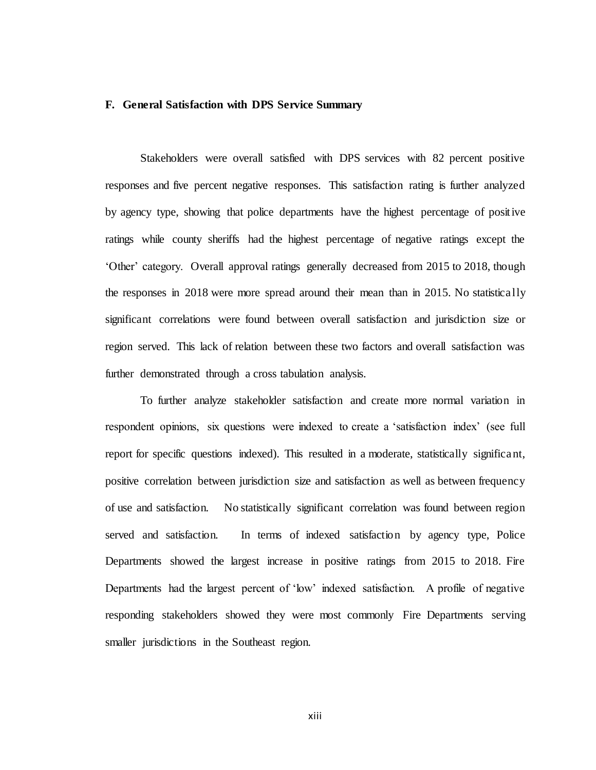#### **F. General Satisfaction with DPS Service Summary**

Stakeholders were overall satisfied with DPS services with 82 percent positive responses and five percent negative responses. This satisfaction rating is further analyzed by agency type, showing that police departments have the highest percentage of positive ratings while county sheriffs had the highest percentage of negative ratings except the 'Other' category. Overall approval ratings generally decreased from 2015 to 2018, though the responses in 2018 were more spread around their mean than in 2015. No statistically significant correlations were found between overall satisfaction and jurisdiction size or region served. This lack of relation between these two factors and overall satisfaction was further demonstrated through a cross tabulation analysis.

To further analyze stakeholder satisfaction and create more normal variation in respondent opinions, six questions were indexed to create a 'satisfaction index' (see full report for specific questions indexed). This resulted in a moderate, statistically significant, positive correlation between jurisdiction size and satisfaction as well as between frequency of use and satisfaction. No statistically significant correlation was found between region served and satisfaction. In terms of indexed satisfaction by agency type, Police Departments showed the largest increase in positive ratings from 2015 to 2018. Fire Departments had the largest percent of 'low' indexed satisfaction. A profile of negative responding stakeholders showed they were most commonly Fire Departments serving smaller jurisdictions in the Southeast region.

xiii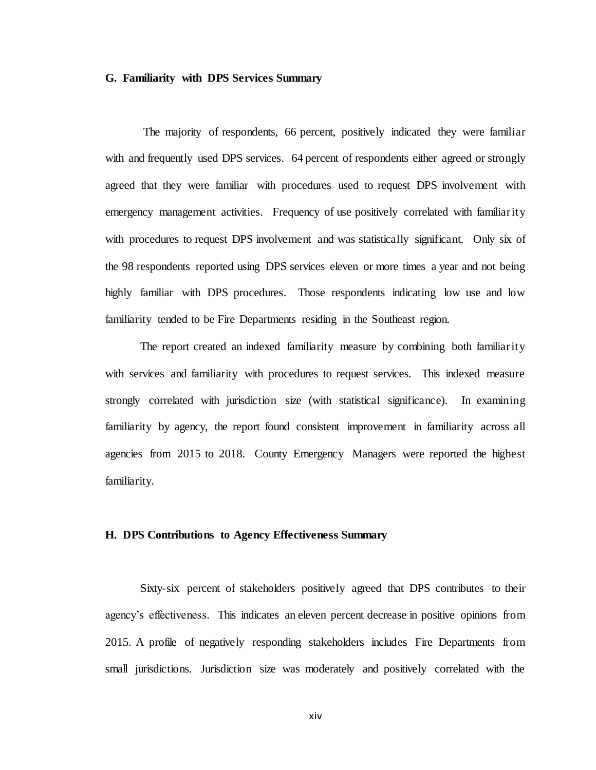#### **G. Familiarity with DPS Services Summary**

The majority of respondents, 66 percent, positively indicated they were familiar with and frequently used DPS services. 64 percent of respondents either agreed or strongly agreed that they were familiar with procedures used to request DPS involvement with emergency management activities. Frequency of use positively correlated with familiarity with procedures to request DPS involvement and was statistically significant. Only six of the 98 respondents reported using DPS services eleven or more times a year and not being highly familiar with DPS procedures. Those respondents indicating low use and low familiarity tended to be Fire Departments residing in the Southeast region.

The report created an indexed familiarity measure by combining both familiarity with services and familiarity with procedures to request services. This indexed measure strongly correlated with jurisdiction size (with statistical significance). In examining familiarity by agency, the report found consistent improvement in familiarity across all agencies from 2015 to 2018. County Emergency Managers were reported the highest familiarity.

#### **H. DPS Contributions to Agency Effectiveness Summary**

Sixty-six percent of stakeholders positively agreed that DPS contributes to their agency's effectiveness. This indicates an eleven percent decrease in positive opinions from 2015. A profile of negatively responding stakeholders includes Fire Departments from small jurisdictions. Jurisdiction size was moderately and positively correlated with the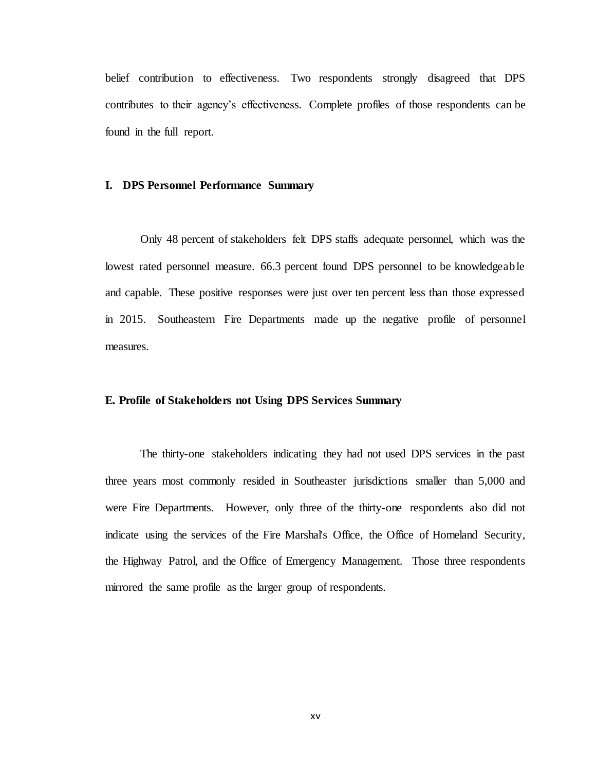belief contribution to effectiveness. Two respondents strongly disagreed that DPS contributes to their agency's effectiveness. Complete profiles of those respondents can be found in the full report.

#### **I. DPS Personnel Performance Summary**

Only 48 percent of stakeholders felt DPS staffs adequate personnel, which was the lowest rated personnel measure. 66.3 percent found DPS personnel to be knowledgeable and capable. These positive responses were just over ten percent less than those expressed in 2015. Southeastern Fire Departments made up the negative profile of personnel measures.

#### **E. Profile of Stakeholders not Using DPS Services Summary**

The thirty-one stakeholders indicating they had not used DPS services in the past three years most commonly resided in Southeaster jurisdictions smaller than 5,000 and were Fire Departments. However, only three of the thirty-one respondents also did not indicate using the services of the Fire Marshal's Office, the Office of Homeland Security, the Highway Patrol, and the Office of Emergency Management. Those three respondents mirrored the same profile as the larger group of respondents.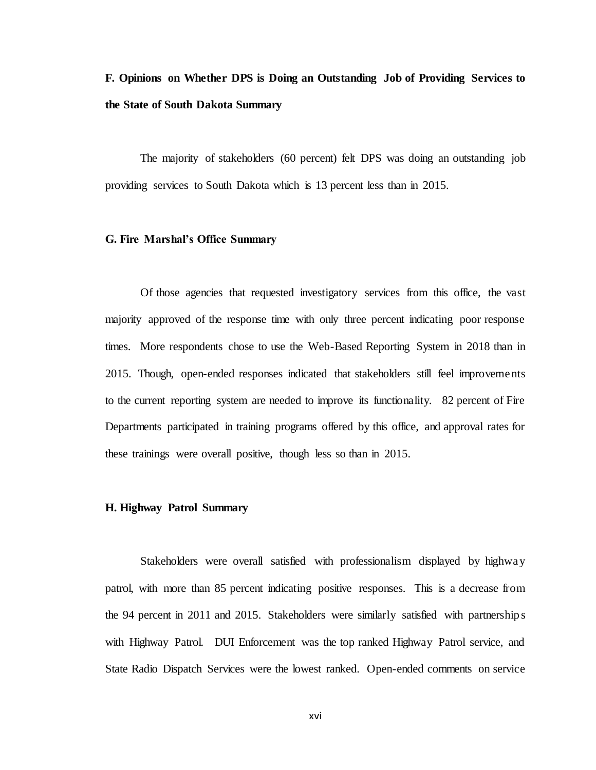## **F. Opinions on Whether DPS is Doing an Outstanding Job of Providing Services to the State of South Dakota Summary**

The majority of stakeholders (60 percent) felt DPS was doing an outstanding job providing services to South Dakota which is 13 percent less than in 2015.

#### **G. Fire Marshal's Office Summary**

Of those agencies that requested investigatory services from this office, the vast majority approved of the response time with only three percent indicating poor response times. More respondents chose to use the Web-Based Reporting System in 2018 than in 2015. Though, open-ended responses indicated that stakeholders still feel improvements to the current reporting system are needed to improve its functionality. 82 percent of Fire Departments participated in training programs offered by this office, and approval rates for these trainings were overall positive, though less so than in 2015.

#### **H. Highway Patrol Summary**

Stakeholders were overall satisfied with professionalism displayed by highway patrol, with more than 85 percent indicating positive responses. This is a decrease from the 94 percent in 2011 and 2015. Stakeholders were similarly satisfied with partnership s with Highway Patrol. DUI Enforcement was the top ranked Highway Patrol service, and State Radio Dispatch Services were the lowest ranked. Open-ended comments on service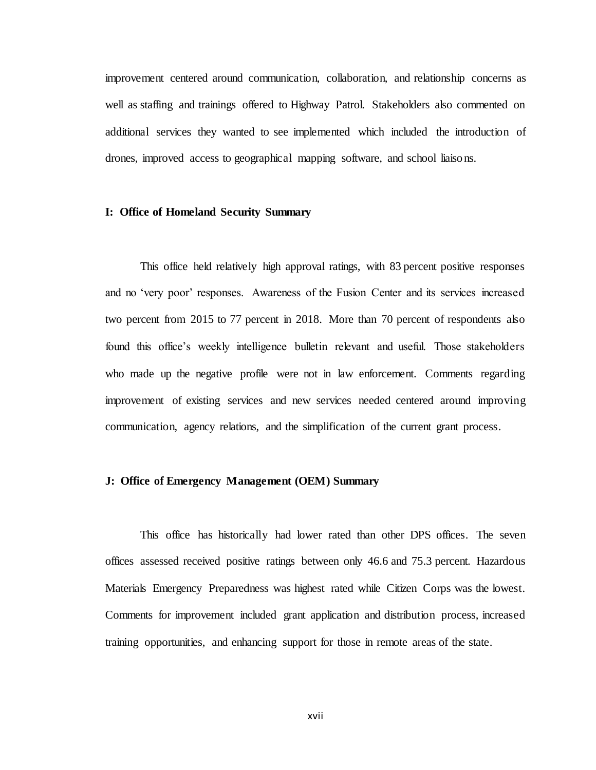improvement centered around communication, collaboration, and relationship concerns as well as staffing and trainings offered to Highway Patrol. Stakeholders also commented on additional services they wanted to see implemented which included the introduction of drones, improved access to geographical mapping software, and school liaiso ns.

#### **I: Office of Homeland Security Summary**

This office held relatively high approval ratings, with 83 percent positive responses and no 'very poor' responses. Awareness of the Fusion Center and its services increased two percent from 2015 to 77 percent in 2018. More than 70 percent of respondents also found this office's weekly intelligence bulletin relevant and useful. Those stakeholders who made up the negative profile were not in law enforcement. Comments regarding improvement of existing services and new services needed centered around improving communication, agency relations, and the simplification of the current grant process.

#### **J: Office of Emergency Management (OEM) Summary**

This office has historically had lower rated than other DPS offices. The seven offices assessed received positive ratings between only 46.6 and 75.3 percent. Hazardous Materials Emergency Preparedness was highest rated while Citizen Corps was the lowest. Comments for improvement included grant application and distribution process, increased training opportunities, and enhancing support for those in remote areas of the state.